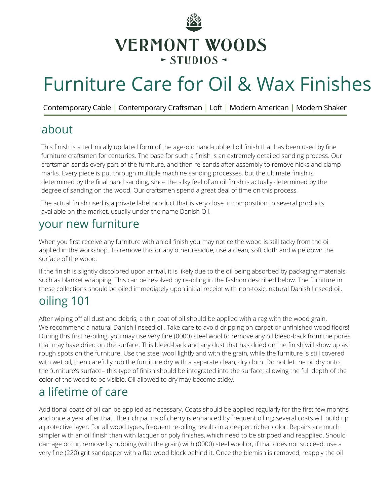

# Furniture Care for Oil & Wax Finishes

Contemporary Cable | Contemporary Craftsman | Loft | Modern American | Modern Shaker

## about

This finish is a technically updated form of the age-old hand-rubbed oil finish that has been used by fine furniture craftsmen for centuries. The base for such a finish is an extremely detailed sanding process. Our craftsman sands every part of the furniture, and then re-sands after assembly to remove nicks and clamp marks. Every piece is put through multiple machine sanding processes, but the ultimate finish is determined by the final hand sanding, since the silky feel of an oil finish is actually determined by the degree of sanding on the wood. Our craftsmen spend a great deal of time on this process.

The actual finish used is a private label product that is very close in composition to several products available on the market, usually under the name Danish Oil.

## your new furniture

When you first receive any furniture with an oil finish you may notice the wood is still tacky from the oil applied in the workshop. To remove this or any other residue, use a clean, soft cloth and wipe down the surface of the wood.

If the finish is slightly discolored upon arrival, it is likely due to the oil being absorbed by packaging materials such as blanket wrapping. This can be resolved by re-oiling in the fashion described below. The furniture in these collections should be oiled immediately upon initial receipt with non-toxic, natural Danish linseed oil.

# oiling 101

After wiping off all dust and debris, a thin coat of oil should be applied with a rag with the wood grain. We recommend a natural Danish linseed oil. Take care to avoid dripping on carpet or unfinished wood floors! During this first re-oiling, you may use very fine (0000) steel wool to remove any oil bleed-back from the pores that may have dried on the surface. This bleed-back and any dust that has dried on the finish will show up as rough spots on the furniture. Use the steel wool lightly and with the grain, while the furniture is still covered with wet oil, then carefully rub the furniture dry with a separate clean, dry cloth. Do not let the oil dry onto the furniture's surface– this type of finish should be integrated into the surface, allowing the full depth of the color of the wood to be visible. Oil allowed to dry may become sticky.

# a lifetime of care

Additional coats of oil can be applied as necessary. Coats should be applied regularly for the first few months and once a year after that. The rich patina of cherry is enhanced by frequent oiling; several coats will build up a protective layer. For all wood types, frequent re-oiling results in a deeper, richer color. Repairs are much simpler with an oil finish than with lacquer or poly finishes, which need to be stripped and reapplied. Should damage occur, remove by rubbing (with the grain) with (0000) steel wool or, if that does not succeed, use a very fine (220) grit sandpaper with a flat wood block behind it. Once the blemish is removed, reapply the oil